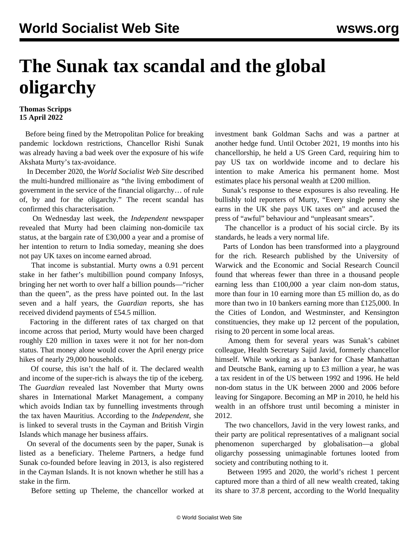## **The Sunak tax scandal and the global oligarchy**

## **Thomas Scripps 15 April 2022**

 Before being fined by the Metropolitan Police for breaking pandemic lockdown restrictions, Chancellor Rishi Sunak was already having a bad week over the exposure of his wife Akshata Murty's tax-avoidance.

 In December 2020, the *World Socialist Web Site* described the multi-hundred millionaire as "the living embodiment of government in the service of the financial oligarchy… of rule of, by and for the oligarchy." The recent scandal has confirmed this characterisation.

 On Wednesday last week, the *Independent* newspaper revealed that Murty had been claiming non-domicile tax status, at the bargain rate of £30,000 a year and a promise of her intention to return to India someday, meaning she does not pay UK taxes on income earned abroad.

 That income is substantial. Murty owns a 0.91 percent stake in her father's multibillion pound company Infosys, bringing her net worth to over half a billion pounds—"richer than the queen", as the press have pointed out. In the last seven and a half years, the *Guardian* reports, she has received dividend payments of £54.5 million.

 Factoring in the different rates of tax charged on that income across that period, Murty would have been charged roughly £20 million in taxes were it not for her non-dom status. That money alone would cover the April energy price hikes of nearly 29,000 households.

 Of course, this isn't the half of it. The declared wealth and income of the super-rich is always the tip of the iceberg. The *Guardian* revealed last November that Murty owns shares in International Market Management, a company which avoids Indian tax by funnelling investments through the tax haven Mauritius. According to the *Independent*, she is linked to several trusts in the Cayman and British Virgin Islands which manage her business affairs.

 On several of the documents seen by the paper, Sunak is listed as a beneficiary. Theleme Partners, a hedge fund Sunak co-founded before leaving in 2013, is also registered in the Cayman Islands. It is not known whether he still has a stake in the firm.

Before setting up Theleme, the chancellor worked at

investment bank Goldman Sachs and was a partner at another hedge fund. Until October 2021, 19 months into his chancellorship, he held a US Green Card, requiring him to pay US tax on worldwide income and to declare his intention to make America his permanent home. Most estimates place his personal wealth at £200 million.

 Sunak's response to these exposures is also revealing. He bullishly told reporters of Murty, "Every single penny she earns in the UK she pays UK taxes on" and accused the press of "awful" behaviour and "unpleasant smears".

 The chancellor is a product of his social circle. By its standards, he leads a very normal life.

 Parts of London has been transformed into a playground for the rich. Research published by the University of Warwick and the Economic and Social Research Council found that whereas fewer than three in a thousand people earning less than £100,000 a year claim non-dom status, more than four in 10 earning more than £5 million do, as do more than two in 10 bankers earning more than £125,000. In the Cities of London, and Westminster, and Kensington constituencies, they make up 12 percent of the population, rising to 20 percent in some local areas.

 Among them for several years was Sunak's cabinet colleague, Health Secretary Sajid Javid, formerly chancellor himself. While working as a banker for Chase Manhattan and Deutsche Bank, earning up to £3 million a year, he was a tax resident in of the US between 1992 and 1996. He held non-dom status in the UK between 2000 and 2006 before leaving for Singapore. Becoming an MP in 2010, he held his wealth in an offshore trust until becoming a minister in 2012.

 The two chancellors, Javid in the very lowest ranks, and their party are political representatives of a malignant social phenomenon supercharged by globalisation—a global oligarchy possessing unimaginable fortunes looted from society and contributing nothing to it.

 Between 1995 and 2020, the world's richest 1 percent captured more than a third of all new wealth created, taking its share to 37.8 percent, according to the World Inequality